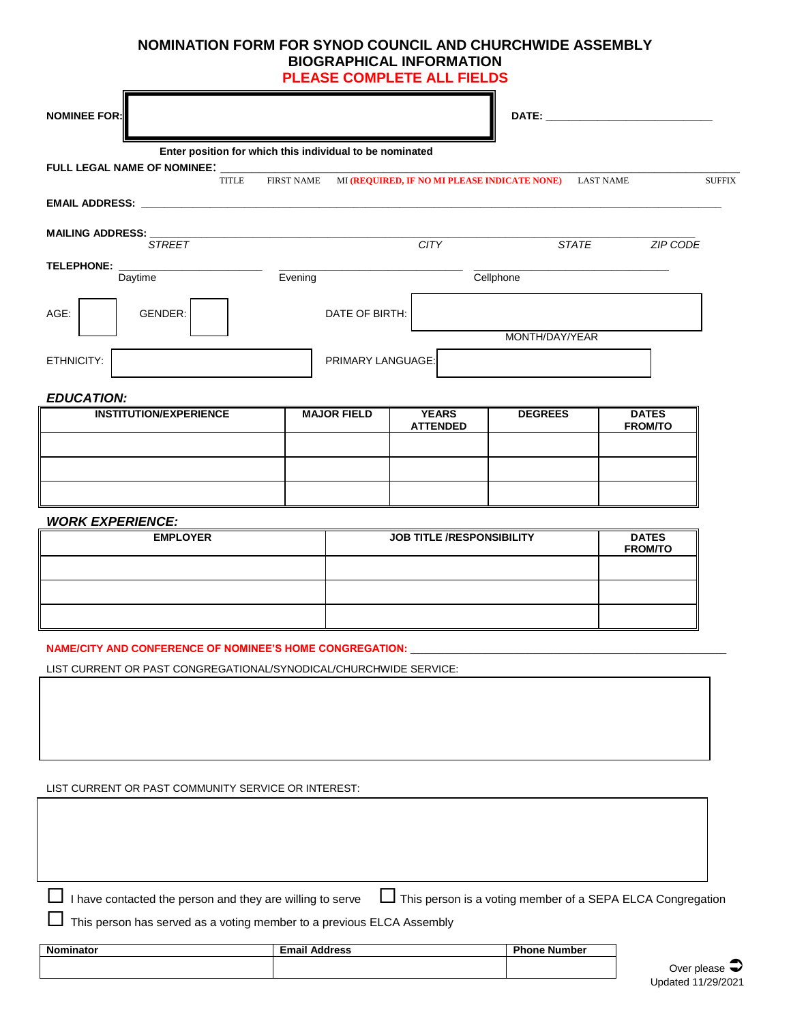## **NOMINATION FORM FOR SYNOD COUNCIL AND CHURCHWIDE ASSEMBLY BIOGRAPHICAL INFORMATION PLEASE COMPLETE ALL FIELDS**

 $\blacksquare$ 

| <b>NOMINEE FOR:</b>           |                                                                                                                |                    |                                  |                                                                   | <b>DATE:</b>   |                                |               |
|-------------------------------|----------------------------------------------------------------------------------------------------------------|--------------------|----------------------------------|-------------------------------------------------------------------|----------------|--------------------------------|---------------|
|                               | Enter position for which this individual to be nominated<br>FULL LEGAL NAME OF NOMINEE: ______<br><b>TITLE</b> |                    |                                  | FIRST NAME MI (REQUIRED, IF NO MI PLEASE INDICATE NONE) LAST NAME |                |                                | <b>SUFFIX</b> |
|                               |                                                                                                                |                    |                                  |                                                                   |                |                                |               |
| MAILING ADDRESS: _            | <b>STREET</b>                                                                                                  |                    |                                  | <b>CITY</b>                                                       | <b>STATE</b>   | <b>ZIP CODE</b>                |               |
| <b>TELEPHONE:</b><br>Daytime  |                                                                                                                | Evening            |                                  |                                                                   | Cellphone      |                                |               |
| AGE:                          | GENDER:                                                                                                        |                    | DATE OF BIRTH:                   |                                                                   |                |                                |               |
| ETHNICITY:                    |                                                                                                                | PRIMARY LANGUAGE:  |                                  | MONTH/DAY/YEAR                                                    |                |                                |               |
| <b>EDUCATION:</b>             |                                                                                                                |                    |                                  |                                                                   |                |                                |               |
| <b>INSTITUTION/EXPERIENCE</b> |                                                                                                                | <b>MAJOR FIELD</b> |                                  | <b>YEARS</b><br><b>ATTENDED</b>                                   | <b>DEGREES</b> | <b>DATES</b><br><b>FROM/TO</b> |               |
|                               |                                                                                                                |                    |                                  |                                                                   |                |                                |               |
| <b>WORK EXPERIENCE:</b>       |                                                                                                                |                    |                                  |                                                                   |                |                                |               |
| <b>EMPLOYER</b>               |                                                                                                                |                    | <b>JOB TITLE /RESPONSIBILITY</b> |                                                                   |                | <b>DATES</b><br><b>FROM/TO</b> |               |

| <b>LIVIFLUILA</b> | <b>JOB ITLE ACSPONSIBILIT</b> | <b>DAILS</b><br><b>FROM/TO</b> |
|-------------------|-------------------------------|--------------------------------|
|                   |                               |                                |
|                   |                               |                                |
|                   |                               |                                |

**NAME/CITY AND CONFERENCE OF NOMINEE'S HOME CONGREGATION:** 

Г

LIST CURRENT OR PAST CONGREGATIONAL/SYNODICAL/CHURCHWIDE SERVICE:

LIST CURRENT OR PAST COMMUNITY SERVICE OR INTEREST:

 $\Box$  I have contacted the person and they are willing to serve  $\Box$  This person is a voting member of a SEPA ELCA Congregation

This person has served as a voting member to a previous ELCA Assembly

| <b>Nominator</b> | <b>Email Address</b> | <b>Phone Number</b> |
|------------------|----------------------|---------------------|
|                  |                      |                     |
|                  |                      |                     |